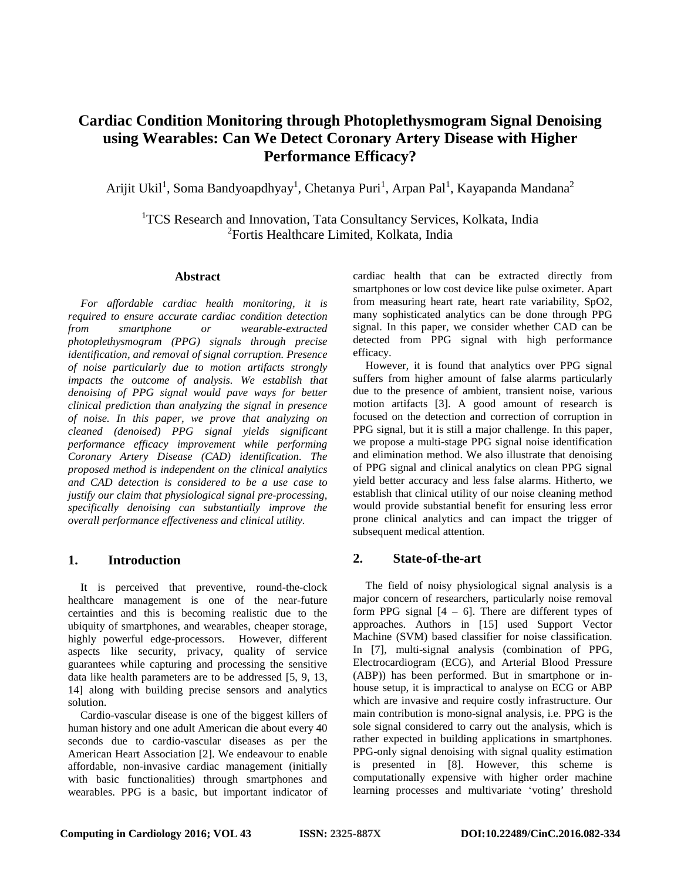# **Cardiac Condition Monitoring through Photoplethysmogram Signal Denoising using Wearables: Can We Detect Coronary Artery Disease with Higher Performance Efficacy?**

Arijit Ukil<sup>1</sup>, Soma Bandyoapdhyay<sup>1</sup>, Chetanya Puri<sup>1</sup>, Arpan Pal<sup>1</sup>, Kayapanda Mandana<sup>2</sup>

<sup>1</sup>TCS Research and Innovation, Tata Consultancy Services, Kolkata, India 2 Fortis Healthcare Limited, Kolkata, India

#### **Abstract**

*For affordable cardiac health monitoring, it is required to ensure accurate cardiac condition detection from smartphone or wearable-extracted photoplethysmogram (PPG) signals through precise identification, and removal of signal corruption. Presence of noise particularly due to motion artifacts strongly impacts the outcome of analysis. We establish that denoising of PPG signal would pave ways for better clinical prediction than analyzing the signal in presence of noise. In this paper, we prove that analyzing on cleaned (denoised) PPG signal yields significant performance efficacy improvement while performing Coronary Artery Disease (CAD) identification. The proposed method is independent on the clinical analytics and CAD detection is considered to be a use case to justify our claim that physiological signal pre-processing, specifically denoising can substantially improve the overall performance effectiveness and clinical utility.* 

### **1. Introduction**

It is perceived that preventive, round-the-clock healthcare management is one of the near-future certainties and this is becoming realistic due to the ubiquity of smartphones, and wearables, cheaper storage, highly powerful edge-processors. However, different aspects like security, privacy, quality of service guarantees while capturing and processing the sensitive data like health parameters are to be addressed [5, 9, 13, 14] along with building precise sensors and analytics solution.

Cardio-vascular disease is one of the biggest killers of human history and one adult American die about every 40 seconds due to cardio-vascular diseases as per the American Heart Association [2]. We endeavour to enable affordable, non-invasive cardiac management (initially with basic functionalities) through smartphones and wearables. PPG is a basic, but important indicator of cardiac health that can be extracted directly from smartphones or low cost device like pulse oximeter. Apart from measuring heart rate, heart rate variability, SpO2, many sophisticated analytics can be done through PPG signal. In this paper, we consider whether CAD can be detected from PPG signal with high performance efficacy.

However, it is found that analytics over PPG signal suffers from higher amount of false alarms particularly due to the presence of ambient, transient noise, various motion artifacts [3]. A good amount of research is focused on the detection and correction of corruption in PPG signal, but it is still a major challenge. In this paper, we propose a multi-stage PPG signal noise identification and elimination method. We also illustrate that denoising of PPG signal and clinical analytics on clean PPG signal yield better accuracy and less false alarms. Hitherto, we establish that clinical utility of our noise cleaning method would provide substantial benefit for ensuring less error prone clinical analytics and can impact the trigger of subsequent medical attention.

### **2. State-of-the-art**

The field of noisy physiological signal analysis is a major concern of researchers, particularly noise removal form PPG signal  $[4 - 6]$ . There are different types of approaches. Authors in [15] used Support Vector Machine (SVM) based classifier for noise classification. In [7], multi-signal analysis (combination of PPG, Electrocardiogram (ECG), and Arterial Blood Pressure (ABP)) has been performed. But in smartphone or inhouse setup, it is impractical to analyse on ECG or ABP which are invasive and require costly infrastructure. Our main contribution is mono-signal analysis, i.e. PPG is the sole signal considered to carry out the analysis, which is rather expected in building applications in smartphones. PPG-only signal denoising with signal quality estimation is presented in [8]. However, this scheme is computationally expensive with higher order machine learning processes and multivariate 'voting' threshold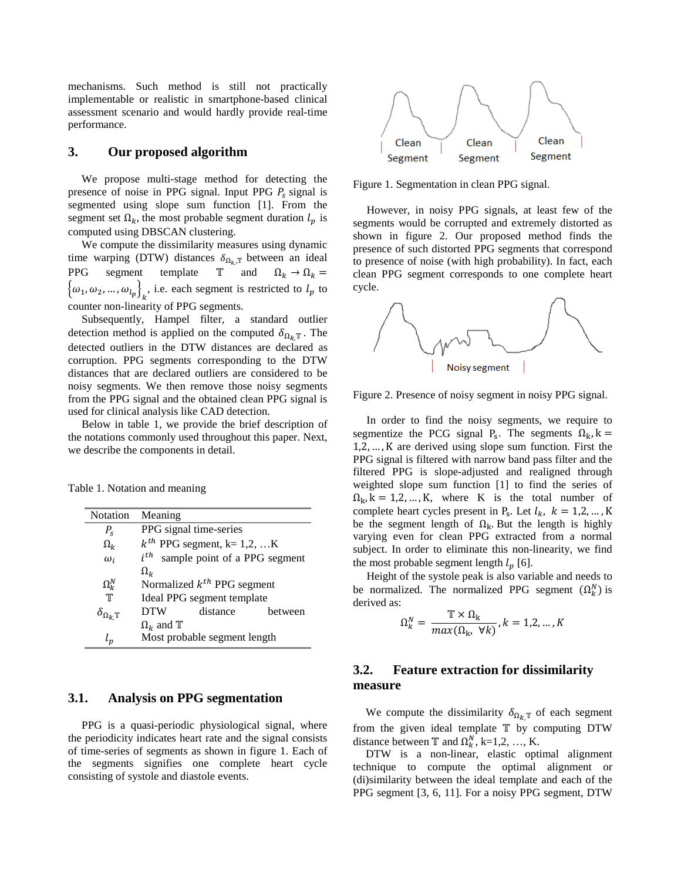mechanisms. Such method is still not practically implementable or realistic in smartphone-based clinical assessment scenario and would hardly provide real-time performance.

#### **3. Our proposed algorithm**

We propose multi-stage method for detecting the presence of noise in PPG signal. Input PPG  $P_s$  signal is segmented using slope sum function [1]. From the segment set  $\Omega_k$ , the most probable segment duration  $l_p$  is computed using DBSCAN clustering.

We compute the dissimilarity measures using dynamic time warping (DTW) distances  $\delta_{\Omega_{k},\mathbb{T}}$  between an ideal PPG segment template  $\mathbb{T}$  and  $\Omega_k \to \Omega_k =$  $\{\omega_1, \omega_2, ..., \omega_{l_p}\}\right)_{k}$ , i.e. each segment is restricted to  $l_p$  to counter non-linearity of PPG segments.

Subsequently, Hampel filter, a standard outlier detection method is applied on the computed  $\delta_{\Omega_{k,\mathbb{T}}}$ . The detected outliers in the DTW distances are declared as corruption. PPG segments corresponding to the DTW distances that are declared outliers are considered to be noisy segments. We then remove those noisy segments from the PPG signal and the obtained clean PPG signal is used for clinical analysis like CAD detection.

Below in table 1, we provide the brief description of the notations commonly used throughout this paper. Next, we describe the components in detail.

|  |  | Table 1. Notation and meaning |  |  |
|--|--|-------------------------------|--|--|
|--|--|-------------------------------|--|--|

| Notation                       | Meaning                                   |  |  |  |  |
|--------------------------------|-------------------------------------------|--|--|--|--|
| $P_{\rm s}$                    | PPG signal time-series                    |  |  |  |  |
| $\Omega_k$                     | $k^{th}$ PPG segment, k= 1,2, K           |  |  |  |  |
| $\omega_i$                     | $i^{th}$<br>sample point of a PPG segment |  |  |  |  |
|                                | $\Omega_{\nu}$                            |  |  |  |  |
| $\Omega_{\nu}^{N}$             | Normalized $k^{th}$ PPG segment           |  |  |  |  |
| Ͳ                              | Ideal PPG segment template                |  |  |  |  |
| $\delta_{\Omega_k \mathbb{T}}$ | <b>DTW</b><br>distance<br>between         |  |  |  |  |
|                                | $\Omega_k$ and T                          |  |  |  |  |
| $\iota_n$                      | Most probable segment length              |  |  |  |  |

#### **3.1. Analysis on PPG segmentation**

PPG is a quasi-periodic physiological signal, where the periodicity indicates heart rate and the signal consists of time-series of segments as shown in figure 1. Each of the segments signifies one complete heart cycle consisting of systole and diastole events.



Figure 1. Segmentation in clean PPG signal.

However, in noisy PPG signals, at least few of the segments would be corrupted and extremely distorted as shown in figure 2. Our proposed method finds the presence of such distorted PPG segments that correspond to presence of noise (with high probability). In fact, each clean PPG segment corresponds to one complete heart cycle.



Figure 2. Presence of noisy segment in noisy PPG signal.

In order to find the noisy segments, we require to segmentize the PCG signal P<sub>s</sub>. The segments  $\Omega_k$ , k = 1,2, … , K are derived using slope sum function. First the PPG signal is filtered with narrow band pass filter and the filtered PPG is slope-adjusted and realigned through weighted slope sum function [1] to find the series of  $\Omega_{\mathbf{k}}$ , k = 1,2, ..., K, where K is the total number of complete heart cycles present in  $P_s$ . Let  $l_k$ ,  $k = 1, 2, ..., K$ be the segment length of  $\Omega_k$ . But the length is highly varying even for clean PPG extracted from a normal subject. In order to eliminate this non-linearity, we find the most probable segment length  $l_p$  [6].

Height of the systole peak is also variable and needs to be normalized. The normalized PPG segment  $(\Omega_k^N)$  is derived as:

$$
\Omega_k^N = \frac{\mathbb{T} \times \Omega_k}{\max(\Omega_k, \ \forall k)}, k = 1, 2, ..., K
$$

### **3.2. Feature extraction for dissimilarity measure**

We compute the dissimilarity  $\delta_{\Omega_{k,\mathbb{T}}}$  of each segment from the given ideal template  $\mathbb T$  by computing DTW distance between  $\mathbb T$  and  $\Omega_k^N$ , k=1,2, ..., K.

DTW is a non-linear, elastic optimal alignment technique to compute the optimal alignment or (di)similarity between the ideal template and each of the PPG segment [3, 6, 11]. For a noisy PPG segment, DTW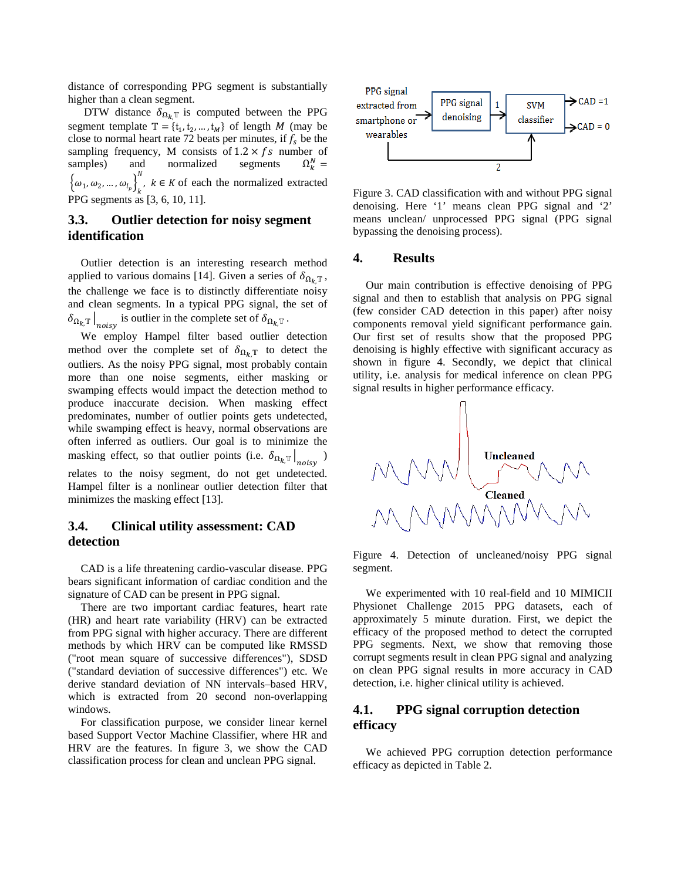distance of corresponding PPG segment is substantially higher than a clean segment.

DTW distance  $\delta_{\Omega_{k},\mathbb{T}}$  is computed between the PPG segment template  $\mathbb{T} = \{t_1, t_2, ..., t_M\}$  of length M (may be close to normal heart rate 72 beats per minutes, if  $f_s$  be the sampling frequency, M consists of  $1.2 \times fs$  number of samples) and normalized segments  $\Omega_k^N =$ samples) and normalized segments  $\Omega_k^N$  $\Omega_k^N =$  $\left\{\omega_1, \omega_2, \ldots, \omega_{l_p}\right\}_k$  $\sum_{i=1}^{N} k \in K$  of each the normalized extracted PPG segments as [3, 6, 10, 11].

# **3.3. Outlier detection for noisy segment identification**

Outlier detection is an interesting research method applied to various domains [14]. Given a series of  $\delta_{\Omega_{k,\mathbb{T}}},$ the challenge we face is to distinctly differentiate noisy and clean segments. In a typical PPG signal, the set of  $\delta_{\Omega_{k,\mathbb{T}}} \big|_{noisy}$  is outlier in the complete set of  $\delta_{\Omega_{k,\mathbb{T}}}$ .

We employ Hampel filter based outlier detection method over the complete set of  $\delta_{\Omega_k}$ <sup>T</sup> to detect the outliers. As the noisy PPG signal, most probably contain more than one noise segments, either masking or swamping effects would impact the detection method to produce inaccurate decision. When masking effect predominates, number of outlier points gets undetected, while swamping effect is heavy, normal observations are often inferred as outliers. Our goal is to minimize the masking effect, so that outlier points (i.e.  $\delta_{\Omega_{k,\mathbb{T}}}\big|_{noisy}$ ) relates to the noisy segment, do not get undetected. Hampel filter is a nonlinear outlier detection filter that minimizes the masking effect [13].

## **3.4. Clinical utility assessment: CAD detection**

CAD is a life threatening cardio-vascular disease. PPG bears significant information of cardiac condition and the signature of CAD can be present in PPG signal.

There are two important cardiac features, heart rate (HR) and heart rate variability (HRV) can be extracted from PPG signal with higher accuracy. There are different methods by which HRV can be computed like RMSSD ("root mean square of successive differences"), SDSD ("standard deviation of successive differences") etc. We derive standard deviation of NN intervals–based HRV, which is extracted from 20 second non-overlapping windows.

For classification purpose, we consider linear kernel based Support Vector Machine Classifier, where HR and HRV are the features. In figure 3, we show the CAD classification process for clean and unclean PPG signal.



Figure 3. CAD classification with and without PPG signal denoising. Here '1' means clean PPG signal and '2' means unclean/ unprocessed PPG signal (PPG signal bypassing the denoising process).

### **4. Results**

Our main contribution is effective denoising of PPG signal and then to establish that analysis on PPG signal (few consider CAD detection in this paper) after noisy components removal yield significant performance gain. Our first set of results show that the proposed PPG denoising is highly effective with significant accuracy as shown in figure 4. Secondly, we depict that clinical utility, i.e. analysis for medical inference on clean PPG signal results in higher performance efficacy.



Figure 4. Detection of uncleaned/noisy PPG signal segment.

We experimented with 10 real-field and 10 MIMICII Physionet Challenge 2015 PPG datasets, each of approximately 5 minute duration. First, we depict the efficacy of the proposed method to detect the corrupted PPG segments. Next, we show that removing those corrupt segments result in clean PPG signal and analyzing on clean PPG signal results in more accuracy in CAD detection, i.e. higher clinical utility is achieved.

# **4.1. PPG signal corruption detection efficacy**

We achieved PPG corruption detection performance efficacy as depicted in Table 2.